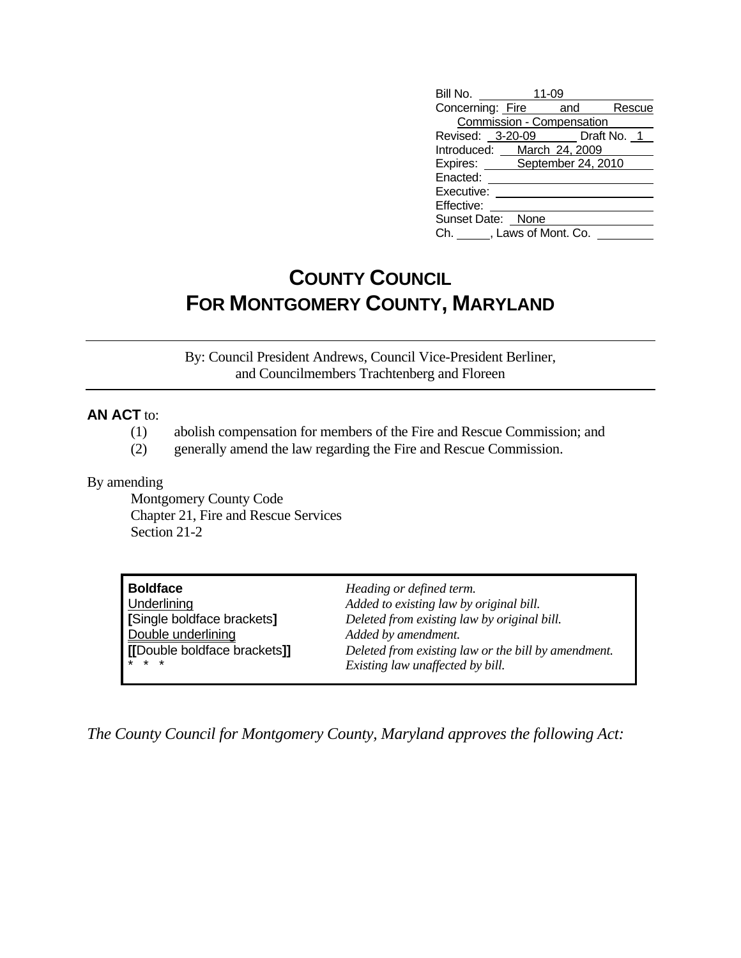| Bill No.                     | 11-09 |  |  |        |
|------------------------------|-------|--|--|--------|
| Concerning: Fire and         |       |  |  | Rescue |
| Commission - Compensation    |       |  |  |        |
| Revised: 3-20-09 Draft No. 1 |       |  |  |        |
| Introduced: March 24, 2009   |       |  |  |        |
| Expires: September 24, 2010  |       |  |  |        |
| Enacted:                     |       |  |  |        |
| Executive:                   |       |  |  |        |
| Effective:                   |       |  |  |        |
| Sunset Date: None            |       |  |  |        |
| Ch. , Laws of Mont. Co.      |       |  |  |        |

# **COUNTY COUNCIL FOR MONTGOMERY COUNTY, MARYLAND**

By: Council President Andrews, Council Vice-President Berliner, and Councilmembers Trachtenberg and Floreen

### **AN ACT** to:

- (1) abolish compensation for members of the Fire and Rescue Commission; and
- (2) generally amend the law regarding the Fire and Rescue Commission.

#### By amending

 Montgomery County Code Chapter 21, Fire and Rescue Services Section 21-2

| <b>Boldface</b>             | Heading or defined term.                            |
|-----------------------------|-----------------------------------------------------|
| Underlining                 | Added to existing law by original bill.             |
| [Single boldface brackets]  | Deleted from existing law by original bill.         |
| Double underlining          | Added by amendment.                                 |
| [Double boldface brackets]] | Deleted from existing law or the bill by amendment. |
| $* * *$                     | Existing law unaffected by bill.                    |

*The County Council for Montgomery County, Maryland approves the following Act:*